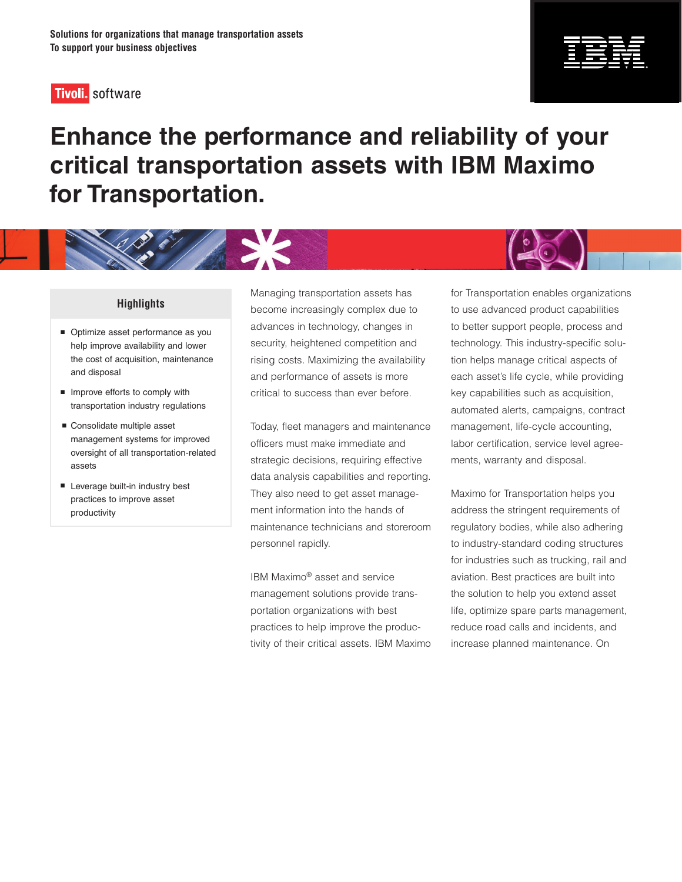## **Tivoli**. software



# **Enhance the performance and reliability of your critical transportation assets with IBM Maximo for Transportation.**

X.

#### **Highlights**

- Optimize asset performance as you help improve availability and lower the cost of acquisition, maintenance and disposal
- **Improve efforts to comply with** transportation industry regulations
- Consolidate multiple asset management systems for improved oversight of all transportation-related assets
- **Leverage built-in industry best** practices to improve asset productivity

Managing transportation assets has become increasingly complex due to advances in technology, changes in security, heightened competition and rising costs. Maximizing the availability and performance of assets is more critical to success than ever before.

Today, fleet managers and maintenance officers must make immediate and strategic decisions, requiring effective data analysis capabilities and reporting. They also need to get asset management information into the hands of maintenance technicians and storeroom personnel rapidly.

IBM Maximo® asset and service management solutions provide transportation organizations with best practices to help improve the productivity of their critical assets. IBM Maximo

for Transportation enables organizations to use advanced product capabilities to better support people, process and technology. This industry-specific solution helps manage critical aspects of each asset's life cycle, while providing key capabilities such as acquisition, automated alerts, campaigns, contract management, life-cycle accounting, labor certification, service level agreements, warranty and disposal.

Maximo for Transportation helps you address the stringent requirements of regulatory bodies, while also adhering to industry-standard coding structures for industries such as trucking, rail and aviation. Best practices are built into the solution to help you extend asset life, optimize spare parts management, reduce road calls and incidents, and increase planned maintenance. On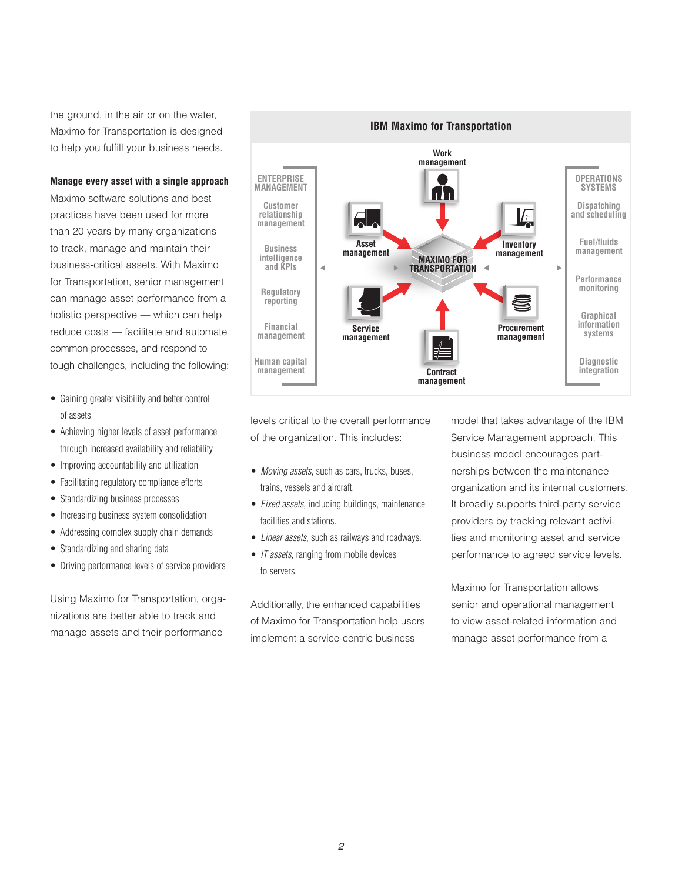the ground, in the air or on the water, Maximo for Transportation is designed to help you fulfill your business needs.

#### **Manage every asset with a single approach**

Maximo software solutions and best practices have been used for more than 20 years by many organizations to track, manage and maintain their business-critical assets. With Maximo for Transportation, senior management can manage asset performance from a holistic perspective — which can help reduce costs — facilitate and automate common processes, and respond to tough challenges, including the following:

- Gaining greater visibility and better control of assets
- Achieving higher levels of asset performance through increased availability and reliability
- • Improving accountability and utilization
- Facilitating regulatory compliance efforts
- Standardizing business processes
- Increasing business system consolidation
- Addressing complex supply chain demands
- Standardizing and sharing data
- Driving performance levels of service providers

Using Maximo for Transportation, organizations are better able to track and manage assets and their performance



levels critical to the overall performance of the organization. This includes:

- • *Moving assets*, such as cars, trucks, buses, trains, vessels and aircraft.
- *Fixed assets*, including buildings, maintenance facilities and stations.
- • *Linear assets*, such as railways and roadways.
- *IT assets*, ranging from mobile devices to servers.

Additionally, the enhanced capabilities of Maximo for Transportation help users implement a service-centric business

model that takes advantage of the IBM Service Management approach. This business model encourages partnerships between the maintenance organization and its internal customers. It broadly supports third-party service providers by tracking relevant activities and monitoring asset and service performance to agreed service levels.

Maximo for Transportation allows senior and operational management to view asset-related information and manage asset performance from a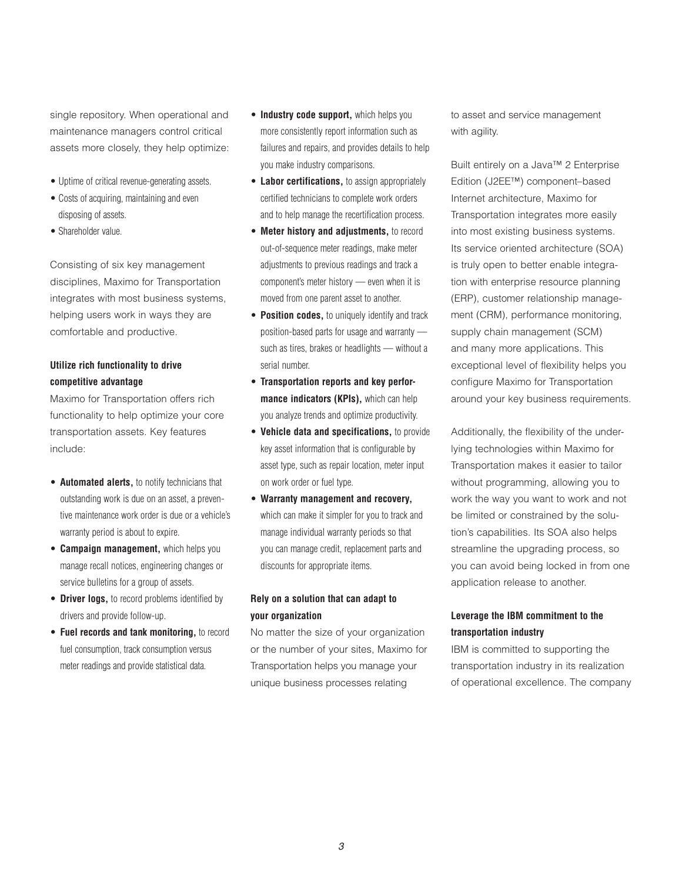single repository. When operational and maintenance managers control critical assets more closely, they help optimize:

- Uptime of critical revenue-generating assets.
- Costs of acquiring, maintaining and even disposing of assets.
- Shareholder value.

Consisting of six key management disciplines, Maximo for Transportation integrates with most business systems, helping users work in ways they are comfortable and productive.

#### **Utilize rich functionality to drive competitive advantage**

Maximo for Transportation offers rich functionality to help optimize your core transportation assets. Key features include:

- • **Automated alerts,** to notify technicians that outstanding work is due on an asset, a preventive maintenance work order is due or a vehicle's warranty period is about to expire.
- **Campaign management, which helps you** manage recall notices, engineering changes or service bulletins for a group of assets.
- **Driver logs,** to record problems identified by drivers and provide follow-up.
- • **Fuel records and tank monitoring,** to record fuel consumption, track consumption versus meter readings and provide statistical data.
- **Industry code support, which helps you** more consistently report information such as failures and repairs, and provides details to help you make industry comparisons.
- • **Labor certifications,** to assign appropriately certified technicians to complete work orders and to help manage the recertification process.
- • **Meter history and adjustments,** to record out-of-sequence meter readings, make meter adjustments to previous readings and track a component's meter history — even when it is moved from one parent asset to another.
- **Position codes,** to uniquely identify and track position-based parts for usage and warranty such as tires, brakes or headlights — without a serial number.
- • **Transportation reports and key performance indicators (KPIs),** which can help you analyze trends and optimize productivity.
- • **Vehicle data and specifications,** to provide key asset information that is configurable by asset type, such as repair location, meter input on work order or fuel type.
- • **Warranty management and recovery,** which can make it simpler for you to track and manage individual warranty periods so that you can manage credit, replacement parts and discounts for appropriate items.

#### **Rely on a solution that can adapt to your organization**

No matter the size of your organization or the number of your sites, Maximo for Transportation helps you manage your unique business processes relating

to asset and service management with agility.

Built entirely on a Java™ 2 Enterprise Edition (J2EE™) component–based Internet architecture, Maximo for Transportation integrates more easily into most existing business systems. Its service oriented architecture (SOA) is truly open to better enable integration with enterprise resource planning (ERP), customer relationship management (CRM), performance monitoring, supply chain management (SCM) and many more applications. This exceptional level of flexibility helps you configure Maximo for Transportation around your key business requirements.

Additionally, the flexibility of the underlying technologies within Maximo for Transportation makes it easier to tailor without programming, allowing you to work the way you want to work and not be limited or constrained by the solution's capabilities. Its SOA also helps streamline the upgrading process, so you can avoid being locked in from one application release to another.

#### **Leverage the IBM commitment to the transportation industry**

IBM is committed to supporting the transportation industry in its realization of operational excellence. The company